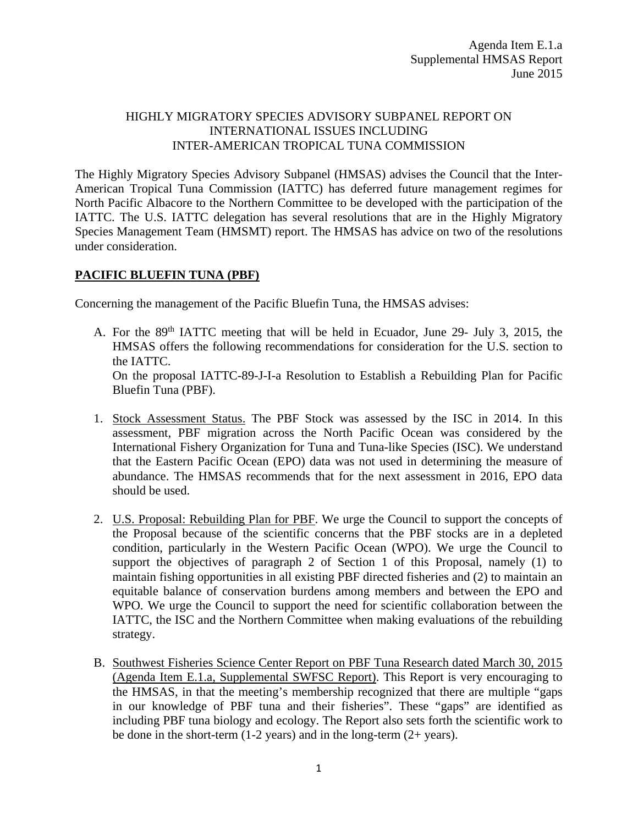## HIGHLY MIGRATORY SPECIES ADVISORY SUBPANEL REPORT ON INTERNATIONAL ISSUES INCLUDING INTER-AMERICAN TROPICAL TUNA COMMISSION

The Highly Migratory Species Advisory Subpanel (HMSAS) advises the Council that the Inter-American Tropical Tuna Commission (IATTC) has deferred future management regimes for North Pacific Albacore to the Northern Committee to be developed with the participation of the IATTC. The U.S. IATTC delegation has several resolutions that are in the Highly Migratory Species Management Team (HMSMT) report. The HMSAS has advice on two of the resolutions under consideration.

### **PACIFIC BLUEFIN TUNA (PBF)**

Concerning the management of the Pacific Bluefin Tuna, the HMSAS advises:

A. For the 89<sup>th</sup> IATTC meeting that will be held in Ecuador, June 29- July 3, 2015, the HMSAS offers the following recommendations for consideration for the U.S. section to the IATTC. On the proposal IATTC-89-J-I-a Resolution to Establish a Rebuilding Plan for Pacific

Bluefin Tuna (PBF).

- 1. Stock Assessment Status. The PBF Stock was assessed by the ISC in 2014. In this assessment, PBF migration across the North Pacific Ocean was considered by the International Fishery Organization for Tuna and Tuna-like Species (ISC). We understand that the Eastern Pacific Ocean (EPO) data was not used in determining the measure of abundance. The HMSAS recommends that for the next assessment in 2016, EPO data should be used.
- 2. U.S. Proposal: Rebuilding Plan for PBF. We urge the Council to support the concepts of the Proposal because of the scientific concerns that the PBF stocks are in a depleted condition, particularly in the Western Pacific Ocean (WPO). We urge the Council to support the objectives of paragraph 2 of Section 1 of this Proposal, namely (1) to maintain fishing opportunities in all existing PBF directed fisheries and (2) to maintain an equitable balance of conservation burdens among members and between the EPO and WPO. We urge the Council to support the need for scientific collaboration between the IATTC, the ISC and the Northern Committee when making evaluations of the rebuilding strategy.
- B. Southwest Fisheries Science Center Report on PBF Tuna Research dated March 30, 2015 (Agenda Item E.1.a, Supplemental SWFSC Report). This Report is very encouraging to the HMSAS, in that the meeting's membership recognized that there are multiple "gaps in our knowledge of PBF tuna and their fisheries". These "gaps" are identified as including PBF tuna biology and ecology. The Report also sets forth the scientific work to be done in the short-term  $(1-2 \text{ years})$  and in the long-term  $(2+\text{years})$ .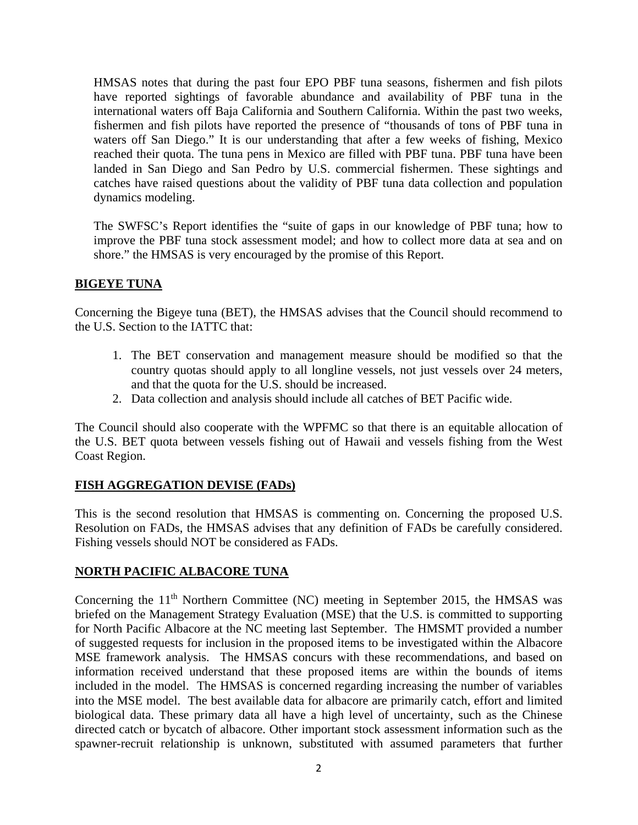HMSAS notes that during the past four EPO PBF tuna seasons, fishermen and fish pilots have reported sightings of favorable abundance and availability of PBF tuna in the international waters off Baja California and Southern California. Within the past two weeks, fishermen and fish pilots have reported the presence of "thousands of tons of PBF tuna in waters off San Diego." It is our understanding that after a few weeks of fishing, Mexico reached their quota. The tuna pens in Mexico are filled with PBF tuna. PBF tuna have been landed in San Diego and San Pedro by U.S. commercial fishermen. These sightings and catches have raised questions about the validity of PBF tuna data collection and population dynamics modeling.

The SWFSC's Report identifies the "suite of gaps in our knowledge of PBF tuna; how to improve the PBF tuna stock assessment model; and how to collect more data at sea and on shore." the HMSAS is very encouraged by the promise of this Report.

## **BIGEYE TUNA**

Concerning the Bigeye tuna (BET), the HMSAS advises that the Council should recommend to the U.S. Section to the IATTC that:

- 1. The BET conservation and management measure should be modified so that the country quotas should apply to all longline vessels, not just vessels over 24 meters, and that the quota for the U.S. should be increased.
- 2. Data collection and analysis should include all catches of BET Pacific wide.

The Council should also cooperate with the WPFMC so that there is an equitable allocation of the U.S. BET quota between vessels fishing out of Hawaii and vessels fishing from the West Coast Region.

# **FISH AGGREGATION DEVISE (FADs)**

This is the second resolution that HMSAS is commenting on. Concerning the proposed U.S. Resolution on FADs, the HMSAS advises that any definition of FADs be carefully considered. Fishing vessels should NOT be considered as FADs.

### **NORTH PACIFIC ALBACORE TUNA**

Concerning the 11<sup>th</sup> Northern Committee (NC) meeting in September 2015, the HMSAS was briefed on the Management Strategy Evaluation (MSE) that the U.S. is committed to supporting for North Pacific Albacore at the NC meeting last September. The HMSMT provided a number of suggested requests for inclusion in the proposed items to be investigated within the Albacore MSE framework analysis. The HMSAS concurs with these recommendations, and based on information received understand that these proposed items are within the bounds of items included in the model. The HMSAS is concerned regarding increasing the number of variables into the MSE model. The best available data for albacore are primarily catch, effort and limited biological data. These primary data all have a high level of uncertainty, such as the Chinese directed catch or bycatch of albacore. Other important stock assessment information such as the spawner-recruit relationship is unknown, substituted with assumed parameters that further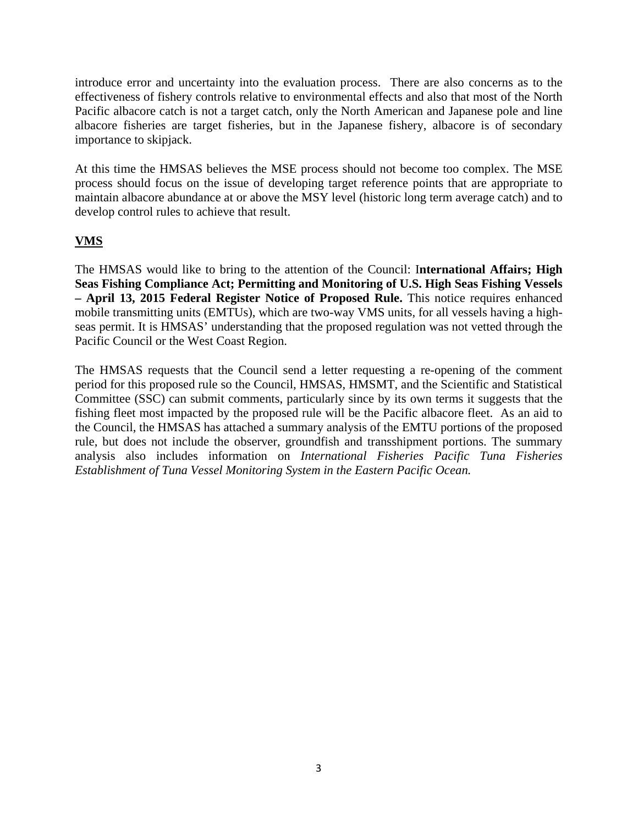introduce error and uncertainty into the evaluation process. There are also concerns as to the effectiveness of fishery controls relative to environmental effects and also that most of the North Pacific albacore catch is not a target catch, only the North American and Japanese pole and line albacore fisheries are target fisheries, but in the Japanese fishery, albacore is of secondary importance to skipjack.

At this time the HMSAS believes the MSE process should not become too complex. The MSE process should focus on the issue of developing target reference points that are appropriate to maintain albacore abundance at or above the MSY level (historic long term average catch) and to develop control rules to achieve that result.

# **VMS**

The HMSAS would like to bring to the attention of the Council: I**nternational Affairs; High Seas Fishing Compliance Act; Permitting and Monitoring of U.S. High Seas Fishing Vessels – April 13, 2015 Federal Register Notice of Proposed Rule.** This notice requires enhanced mobile transmitting units (EMTUs), which are two-way VMS units, for all vessels having a highseas permit. It is HMSAS' understanding that the proposed regulation was not vetted through the Pacific Council or the West Coast Region.

The HMSAS requests that the Council send a letter requesting a re-opening of the comment period for this proposed rule so the Council, HMSAS, HMSMT, and the Scientific and Statistical Committee (SSC) can submit comments, particularly since by its own terms it suggests that the fishing fleet most impacted by the proposed rule will be the Pacific albacore fleet. As an aid to the Council, the HMSAS has attached a summary analysis of the EMTU portions of the proposed rule, but does not include the observer, groundfish and transshipment portions. The summary analysis also includes information on *International Fisheries Pacific Tuna Fisheries Establishment of Tuna Vessel Monitoring System in the Eastern Pacific Ocean.*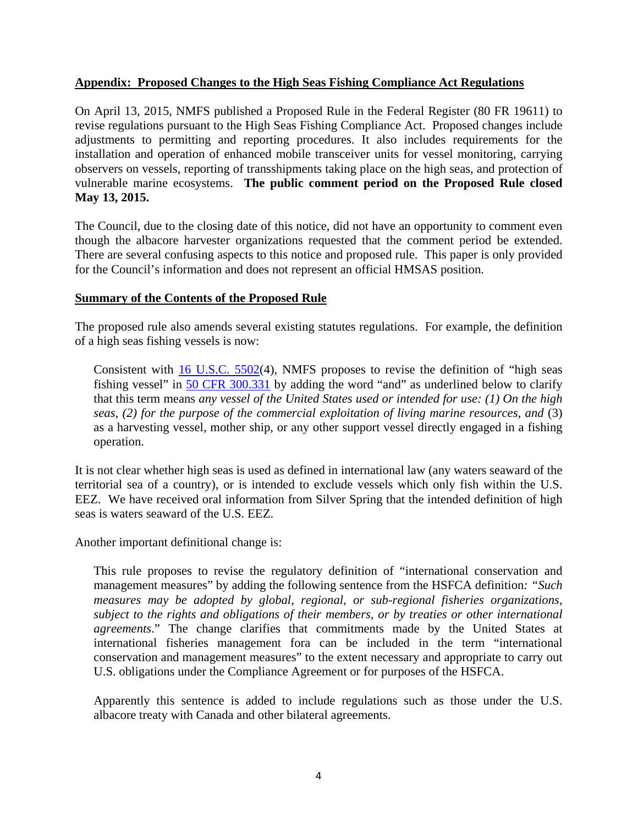#### **Appendix: Proposed Changes to the High Seas Fishing Compliance Act Regulations**

On April 13, 2015, NMFS published a Proposed Rule in the Federal Register (80 FR 19611) to revise regulations pursuant to the High Seas Fishing Compliance Act. Proposed changes include adjustments to permitting and reporting procedures. It also includes requirements for the installation and operation of enhanced mobile transceiver units for vessel monitoring, carrying observers on vessels, reporting of transshipments taking place on the high seas, and protection of vulnerable marine ecosystems. **The public comment period on the Proposed Rule closed May 13, 2015.**

The Council, due to the closing date of this notice, did not have an opportunity to comment even though the albacore harvester organizations requested that the comment period be extended. There are several confusing aspects to this notice and proposed rule. This paper is only provided for the Council's information and does not represent an official HMSAS position.

#### **Summary of the Contents of the Proposed Rule**

The proposed rule also amends several existing statutes regulations. For example, the definition of a high seas fishing vessels is now:

Consistent with [16 U.S.C. 5502\(](http://api.fdsys.gov/link?collection=uscode&title=16&year=mostrecent§ion=5502&type=usc&link-type=html)4), NMFS proposes to revise the definition of "high seas fishing vessel" in [50 CFR 300.331](https://www.federalregister.gov/select-citation/2015/04/13/50-CFR-300.331) by adding the word "and" as underlined below to clarify that this term means *any vessel of the United States used or intended for use: (1) On the high seas, (2) for the purpose of the commercial exploitation of living marine resources, and* (3) as a harvesting vessel, mother ship, or any other support vessel directly engaged in a fishing operation.

It is not clear whether high seas is used as defined in international law (any waters seaward of the territorial sea of a country), or is intended to exclude vessels which only fish within the U.S. EEZ. We have received oral information from Silver Spring that the intended definition of high seas is waters seaward of the U.S. EEZ.

Another important definitional change is:

This rule proposes to revise the regulatory definition of "international conservation and management measures" by adding the following sentence from the HSFCA definition*: "Such measures may be adopted by global, regional, or sub-regional fisheries organizations, subject to the rights and obligations of their members, or by treaties or other international agreements*." The change clarifies that commitments made by the United States at international fisheries management fora can be included in the term "international conservation and management measures" to the extent necessary and appropriate to carry out U.S. obligations under the Compliance Agreement or for purposes of the HSFCA.

Apparently this sentence is added to include regulations such as those under the U.S. albacore treaty with Canada and other bilateral agreements.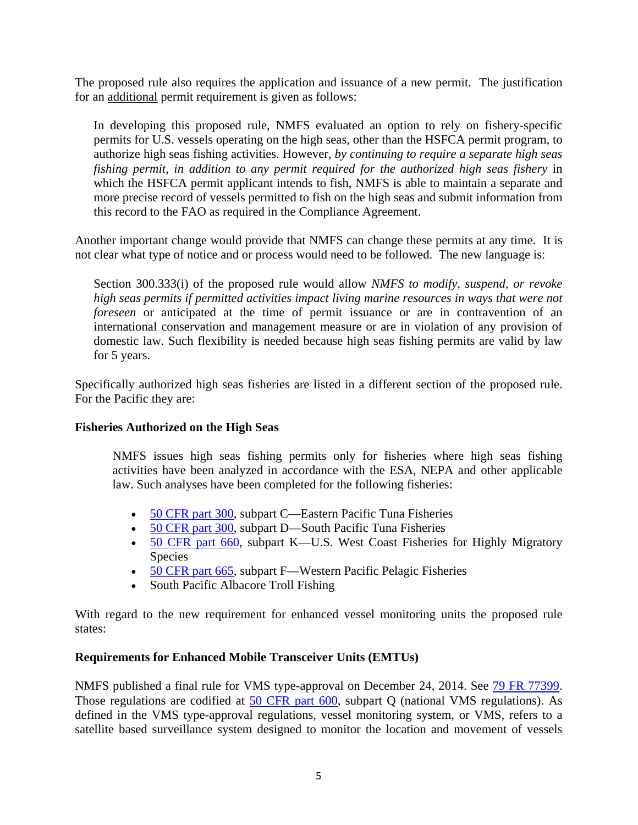The proposed rule also requires the application and issuance of a new permit. The justification for an additional permit requirement is given as follows:

In developing this proposed rule, NMFS evaluated an option to rely on fishery-specific permits for U.S. vessels operating on the high seas, other than the HSFCA permit program, to authorize high seas fishing activities. However, *by continuing to require a separate high seas fishing permit, in addition to any permit required for the authorized high seas fishery* in which the HSFCA permit applicant intends to fish, NMFS is able to maintain a separate and more precise record of vessels permitted to fish on the high seas and submit information from this record to the FAO as required in the Compliance Agreement.

Another important change would provide that NMFS can change these permits at any time. It is not clear what type of notice and or process would need to be followed. The new language is:

Section 300.333(i) of the proposed rule would allow *NMFS to modify, suspend, or revoke high seas permits if permitted activities impact living marine resources in ways that were not foreseen* or anticipated at the time of permit issuance or are in contravention of an international conservation and management measure or are in violation of any provision of domestic law. Such flexibility is needed because high seas fishing permits are valid by law for 5 years.

Specifically authorized high seas fisheries are listed in a different section of the proposed rule. For the Pacific they are:

#### **Fisheries Authorized on the High Seas**

NMFS issues high seas fishing permits only for fisheries where high seas fishing activities have been analyzed in accordance with the ESA, NEPA and other applicable law. Such analyses have been completed for the following fisheries:

- [50 CFR part 300,](https://www.federalregister.gov/select-citation/2015/04/13/50-CFR-300) subpart C—Eastern Pacific Tuna Fisheries
- [50 CFR part 300,](https://www.federalregister.gov/select-citation/2015/04/13/50-CFR-300) subpart D—South Pacific Tuna Fisheries
- [50 CFR part 660,](https://www.federalregister.gov/select-citation/2015/04/13/50-CFR-660) subpart K—U.S. West Coast Fisheries for Highly Migratory Species
- [50 CFR part 665,](https://www.federalregister.gov/select-citation/2015/04/13/50-CFR-665) subpart F—Western Pacific Pelagic Fisheries
- South Pacific Albacore Troll Fishing

With regard to the new requirement for enhanced vessel monitoring units the proposed rule states:

#### **Requirements for Enhanced Mobile Transceiver Units (EMTUs)**

NMFS published a final rule for VMS type-approval on December 24, 2014. See [79 FR 77399.](https://www.federalregister.gov/citation/79-FR-77399) Those regulations are codified at [50 CFR part 600,](https://www.federalregister.gov/select-citation/2015/04/13/50-CFR-600) subpart Q (national VMS regulations). As defined in the VMS type-approval regulations, vessel monitoring system, or VMS, refers to a satellite based surveillance system designed to monitor the location and movement of vessels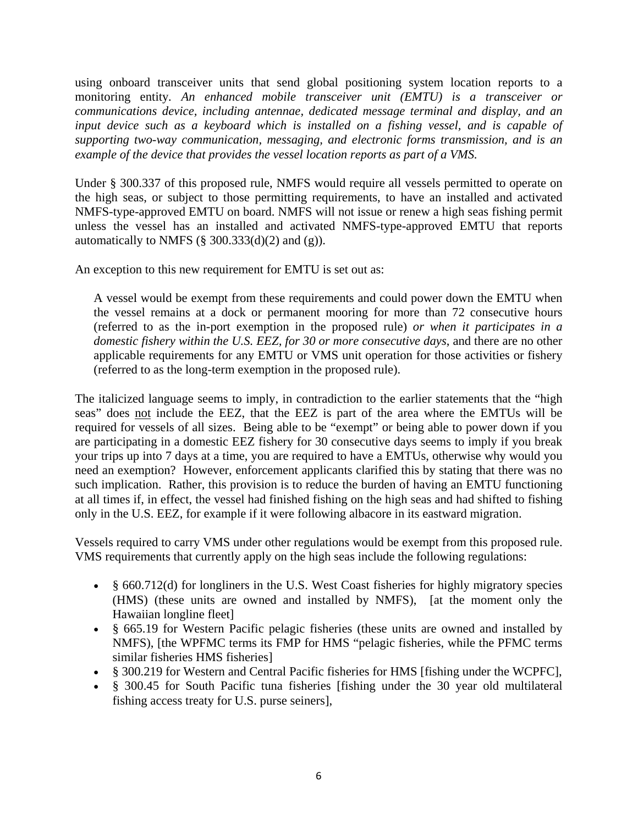using onboard transceiver units that send global positioning system location reports to a monitoring entity*. An enhanced mobile transceiver unit (EMTU) is a transceiver or communications device, including antennae, dedicated message terminal and display, and an input device such as a keyboard which is installed on a fishing vessel, and is capable of supporting two-way communication, messaging, and electronic forms transmission, and is an example of the device that provides the vessel location reports as part of a VMS.*

Under § 300.337 of this proposed rule, NMFS would require all vessels permitted to operate on the high seas, or subject to those permitting requirements, to have an installed and activated NMFS-type-approved EMTU on board. NMFS will not issue or renew a high seas fishing permit unless the vessel has an installed and activated NMFS-type-approved EMTU that reports automatically to NMFS  $(\S$  300.333(d)(2) and (g)).

An exception to this new requirement for EMTU is set out as:

A vessel would be exempt from these requirements and could power down the EMTU when the vessel remains at a dock or permanent mooring for more than 72 consecutive hours (referred to as the in-port exemption in the proposed rule) *or when it participates in a domestic fishery within the U.S. EEZ, for 30 or more consecutive days*, and there are no other applicable requirements for any EMTU or VMS unit operation for those activities or fishery (referred to as the long-term exemption in the proposed rule).

The italicized language seems to imply, in contradiction to the earlier statements that the "high seas" does not include the EEZ, that the EEZ is part of the area where the EMTUs will be required for vessels of all sizes. Being able to be "exempt" or being able to power down if you are participating in a domestic EEZ fishery for 30 consecutive days seems to imply if you break your trips up into 7 days at a time, you are required to have a EMTUs, otherwise why would you need an exemption? However, enforcement applicants clarified this by stating that there was no such implication. Rather, this provision is to reduce the burden of having an EMTU functioning at all times if, in effect, the vessel had finished fishing on the high seas and had shifted to fishing only in the U.S. EEZ, for example if it were following albacore in its eastward migration.

Vessels required to carry VMS under other regulations would be exempt from this proposed rule. VMS requirements that currently apply on the high seas include the following regulations:

- § 660.712(d) for longliners in the U.S. West Coast fisheries for highly migratory species (HMS) (these units are owned and installed by NMFS), [at the moment only the Hawaiian longline fleet]
- § 665.19 for Western Pacific pelagic fisheries (these units are owned and installed by NMFS), [the WPFMC terms its FMP for HMS "pelagic fisheries, while the PFMC terms similar fisheries HMS fisheries]
- § 300.219 for Western and Central Pacific fisheries for HMS [fishing under the WCPFC],
- § 300.45 for South Pacific tuna fisheries [fishing under the 30 year old multilateral fishing access treaty for U.S. purse seiners],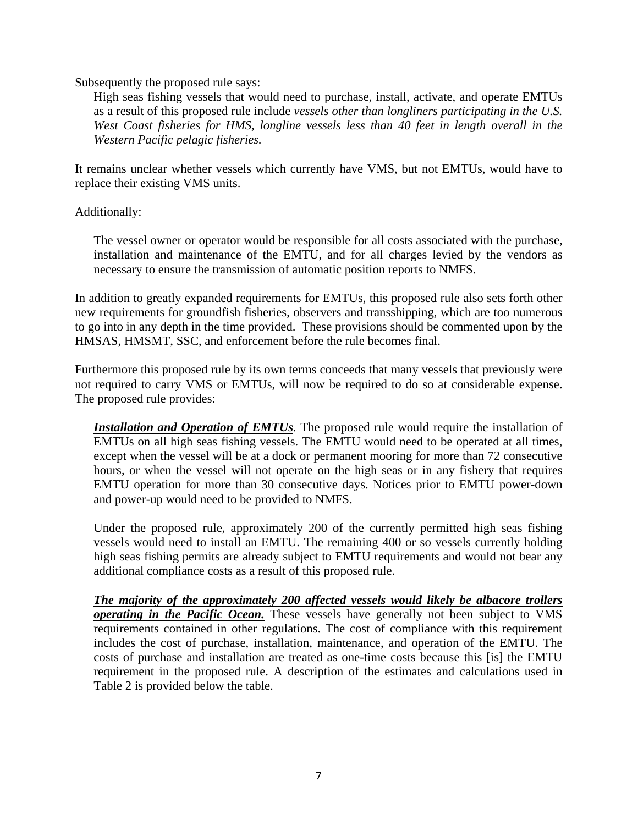Subsequently the proposed rule says:

High seas fishing vessels that would need to purchase, install, activate, and operate EMTUs as a result of this proposed rule include *vessels other than longliners participating in the U.S. West Coast fisheries for HMS, longline vessels less than 40 feet in length overall in the Western Pacific pelagic fisheries.*

It remains unclear whether vessels which currently have VMS, but not EMTUs, would have to replace their existing VMS units.

Additionally:

The vessel owner or operator would be responsible for all costs associated with the purchase, installation and maintenance of the EMTU, and for all charges levied by the vendors as necessary to ensure the transmission of automatic position reports to NMFS.

In addition to greatly expanded requirements for EMTUs, this proposed rule also sets forth other new requirements for groundfish fisheries, observers and transshipping, which are too numerous to go into in any depth in the time provided. These provisions should be commented upon by the HMSAS, HMSMT, SSC, and enforcement before the rule becomes final.

Furthermore this proposed rule by its own terms conceeds that many vessels that previously were not required to carry VMS or EMTUs, will now be required to do so at considerable expense. The proposed rule provides:

*Installation and Operation of EMTUs.* The proposed rule would require the installation of EMTUs on all high seas fishing vessels. The EMTU would need to be operated at all times, except when the vessel will be at a dock or permanent mooring for more than 72 consecutive hours, or when the vessel will not operate on the high seas or in any fishery that requires EMTU operation for more than 30 consecutive days. Notices prior to EMTU power-down and power-up would need to be provided to NMFS.

Under the proposed rule, approximately 200 of the currently permitted high seas fishing vessels would need to install an EMTU. The remaining 400 or so vessels currently holding high seas fishing permits are already subject to EMTU requirements and would not bear any additional compliance costs as a result of this proposed rule.

*The majority of the approximately 200 affected vessels would likely be albacore trollers operating in the Pacific Ocean.* These vessels have generally not been subject to VMS requirements contained in other regulations. The cost of compliance with this requirement includes the cost of purchase, installation, maintenance, and operation of the EMTU. The costs of purchase and installation are treated as one-time costs because this [is] the EMTU requirement in the proposed rule. A description of the estimates and calculations used in Table 2 is provided below the table.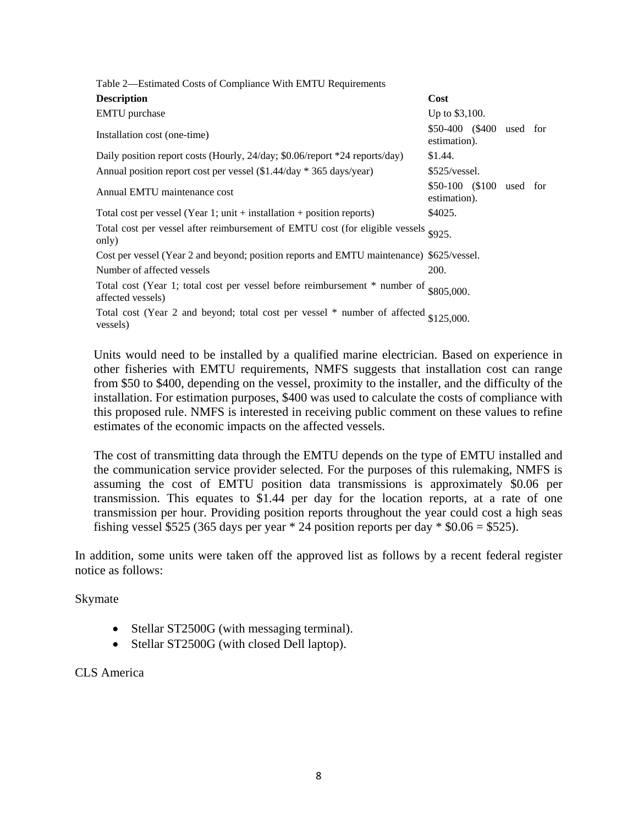| Table 2—Estimated Costs of Compliance With EMTU Requirements                                                 |                                          |  |  |
|--------------------------------------------------------------------------------------------------------------|------------------------------------------|--|--|
| <b>Description</b>                                                                                           | Cost                                     |  |  |
| <b>EMTU</b> purchase                                                                                         | Up to \$3,100.                           |  |  |
| Installation cost (one-time)                                                                                 | \$50-400 (\$400 used for<br>estimation). |  |  |
| Daily position report costs (Hourly, 24/day; \$0.06/report *24 reports/day)                                  | \$1.44.                                  |  |  |
| Annual position report cost per vessel (\$1.44/day * 365 days/year)                                          | \$525/vessel.                            |  |  |
| Annual EMTU maintenance cost                                                                                 | \$50-100 (\$100 used for<br>estimation). |  |  |
| Total cost per vessel (Year 1; unit $+$ installation $+$ position reports)                                   | \$4025.                                  |  |  |
| Total cost per vessel after reimbursement of EMTU cost (for eligible vessels<br>only)                        | \$925.                                   |  |  |
| Cost per vessel (Year 2 and beyond; position reports and EMTU maintenance) \$625/vessel.                     |                                          |  |  |
| Number of affected vessels                                                                                   | 200.                                     |  |  |
| Total cost (Year 1; total cost per vessel before reimbursement $*$ number of \$805,000.<br>affected vessels) |                                          |  |  |
| Total cost (Year 2 and beyond; total cost per vessel $*$ number of affected $$125,000$ .<br>vessels)         |                                          |  |  |

Units would need to be installed by a qualified marine electrician. Based on experience in other fisheries with EMTU requirements, NMFS suggests that installation cost can range from \$50 to \$400, depending on the vessel, proximity to the installer, and the difficulty of the installation. For estimation purposes, \$400 was used to calculate the costs of compliance with this proposed rule. NMFS is interested in receiving public comment on these values to refine estimates of the economic impacts on the affected vessels.

The cost of transmitting data through the EMTU depends on the type of EMTU installed and the communication service provider selected. For the purposes of this rulemaking, NMFS is assuming the cost of EMTU position data transmissions is approximately \$0.06 per transmission. This equates to \$1.44 per day for the location reports, at a rate of one transmission per hour. Providing position reports throughout the year could cost a high seas fishing vessel \$525 (365 days per year  $*$  24 position reports per day  $*$  \$0.06 = \$525).

In addition, some units were taken off the approved list as follows by a recent federal register notice as follows:

Skymate

- Stellar ST2500G (with messaging terminal).
- Stellar ST2500G (with closed Dell laptop).

#### CLS America